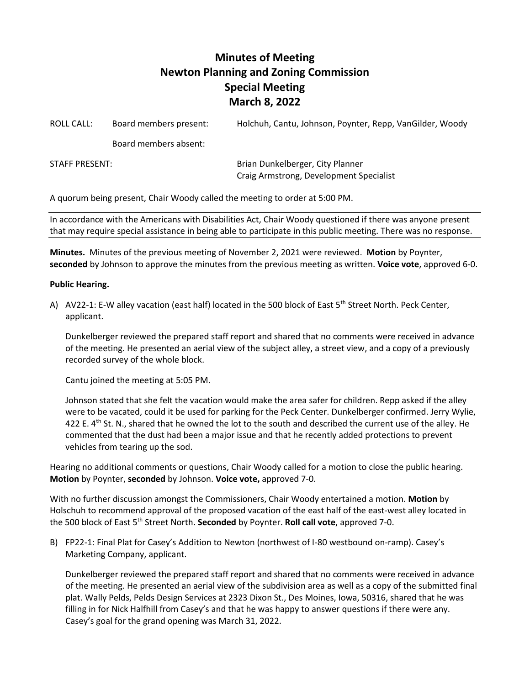## **Minutes of Meeting Newton Planning and Zoning Commission Special Meeting March 8, 2022**

ROLL CALL: Board members present: Holchuh, Cantu, Johnson, Poynter, Repp, VanGilder, Woody

Board members absent:

STAFF PRESENT: Brian Dunkelberger, City Planner Craig Armstrong, Development Specialist

A quorum being present, Chair Woody called the meeting to order at 5:00 PM.

In accordance with the Americans with Disabilities Act, Chair Woody questioned if there was anyone present that may require special assistance in being able to participate in this public meeting. There was no response.

**Minutes.** Minutes of the previous meeting of November 2, 2021 were reviewed. **Motion** by Poynter, **seconded** by Johnson to approve the minutes from the previous meeting as written. **Voice vote**, approved 6-0.

## **Public Hearing.**

A) AV22-1: E-W alley vacation (east half) located in the 500 block of East 5<sup>th</sup> Street North. Peck Center, applicant.

Dunkelberger reviewed the prepared staff report and shared that no comments were received in advance of the meeting. He presented an aerial view of the subject alley, a street view, and a copy of a previously recorded survey of the whole block.

Cantu joined the meeting at 5:05 PM.

Johnson stated that she felt the vacation would make the area safer for children. Repp asked if the alley were to be vacated, could it be used for parking for the Peck Center. Dunkelberger confirmed. Jerry Wylie, 422 E.  $4^{th}$  St. N., shared that he owned the lot to the south and described the current use of the alley. He commented that the dust had been a major issue and that he recently added protections to prevent vehicles from tearing up the sod.

Hearing no additional comments or questions, Chair Woody called for a motion to close the public hearing. **Motion** by Poynter, **seconded** by Johnson. **Voice vote,** approved 7-0.

With no further discussion amongst the Commissioners, Chair Woody entertained a motion. **Motion** by Holschuh to recommend approval of the proposed vacation of the east half of the east-west alley located in the 500 block of East 5th Street North. **Seconded** by Poynter. **Roll call vote**, approved 7-0.

B) FP22-1: Final Plat for Casey's Addition to Newton (northwest of I-80 westbound on-ramp). Casey's Marketing Company, applicant.

Dunkelberger reviewed the prepared staff report and shared that no comments were received in advance of the meeting. He presented an aerial view of the subdivision area as well as a copy of the submitted final plat. Wally Pelds, Pelds Design Services at 2323 Dixon St., Des Moines, Iowa, 50316, shared that he was filling in for Nick Halfhill from Casey's and that he was happy to answer questions if there were any. Casey's goal for the grand opening was March 31, 2022.